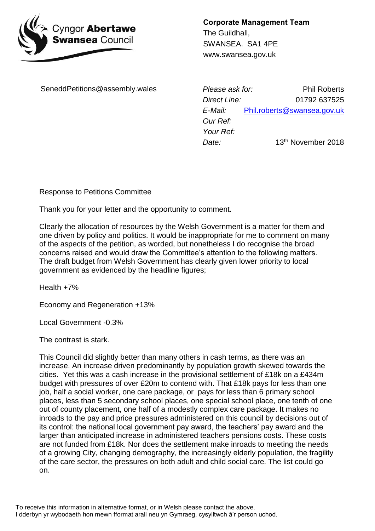

**Corporate Management Team** The Guildhall, SWANSEA. SA1 4PE www.swansea.gov.uk

SeneddPetitions@assembly.wales

*Please ask for: Direct Line: E-Mail: Our Ref: Your Ref: Date:* Phil Roberts 01792 637525 [Phil.roberts@swansea.gov.uk](mailto:Phil.roberts@swansea.gov.uk) 13th November 2018

Response to Petitions Committee

Thank you for your letter and the opportunity to comment.

Clearly the allocation of resources by the Welsh Government is a matter for them and one driven by policy and politics. It would be inappropriate for me to comment on many of the aspects of the petition, as worded, but nonetheless I do recognise the broad concerns raised and would draw the Committee's attention to the following matters. The draft budget from Welsh Government has clearly given lower priority to local government as evidenced by the headline figures;

Health +7%

Economy and Regeneration +13%

Local Government -0.3%

The contrast is stark.

This Council did slightly better than many others in cash terms, as there was an increase. An increase driven predominantly by population growth skewed towards the cities. Yet this was a cash increase in the provisional settlement of £18k on a £434m budget with pressures of over £20m to contend with. That £18k pays for less than one job, half a social worker, one care package, or pays for less than 6 primary school places, less than 5 secondary school places, one special school place, one tenth of one out of county placement, one half of a modestly complex care package. It makes no inroads to the pay and price pressures administered on this council by decisions out of its control: the national local government pay award, the teachers' pay award and the larger than anticipated increase in administered teachers pensions costs. These costs are not funded from £18k. Nor does the settlement make inroads to meeting the needs of a growing City, changing demography, the increasingly elderly population, the fragility of the care sector, the pressures on both adult and child social care. The list could go on.